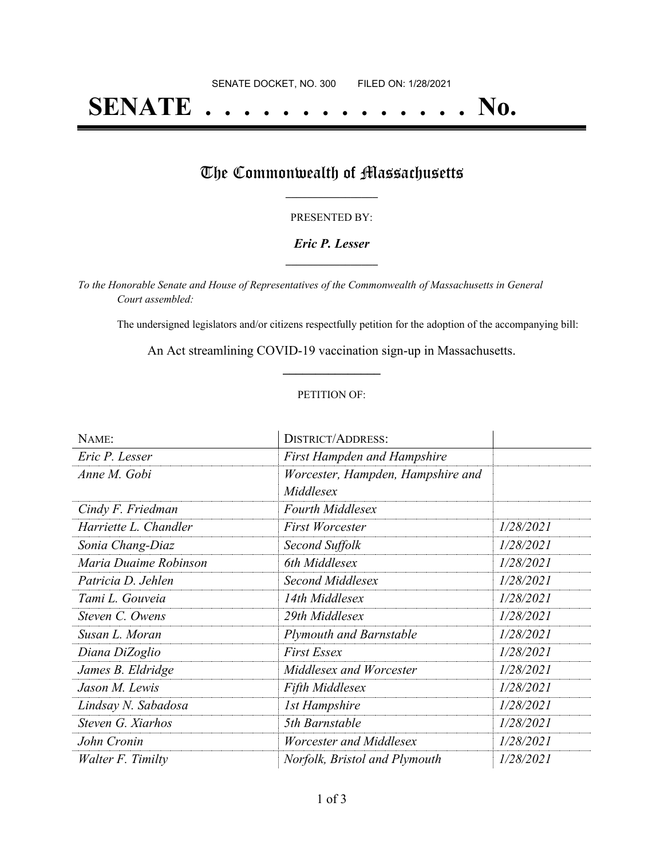# **SENATE . . . . . . . . . . . . . . No.**

## The Commonwealth of Massachusetts

#### PRESENTED BY:

#### *Eric P. Lesser* **\_\_\_\_\_\_\_\_\_\_\_\_\_\_\_\_\_**

*To the Honorable Senate and House of Representatives of the Commonwealth of Massachusetts in General Court assembled:*

The undersigned legislators and/or citizens respectfully petition for the adoption of the accompanying bill:

An Act streamlining COVID-19 vaccination sign-up in Massachusetts. **\_\_\_\_\_\_\_\_\_\_\_\_\_\_\_**

#### PETITION OF:

| NAME:                 | <b>DISTRICT/ADDRESS:</b>                       |           |
|-----------------------|------------------------------------------------|-----------|
| Eric P. Lesser        | <b>First Hampden and Hampshire</b>             |           |
| Anne M. Gobi          | Worcester, Hampden, Hampshire and<br>Middlesex |           |
| Cindy F. Friedman     | <b>Fourth Middlesex</b>                        |           |
| Harriette L. Chandler | <b>First Worcester</b>                         | 1/28/2021 |
| Sonia Chang-Diaz      | Second Suffolk                                 | 1/28/2021 |
| Maria Duaime Robinson | 6th Middlesex                                  | 1/28/2021 |
| Patricia D. Jehlen    | Second Middlesex                               | 1/28/2021 |
| Tami L. Gouveia       | 14th Middlesex                                 | 1/28/2021 |
| Steven C. Owens       | 29th Middlesex                                 | 1/28/2021 |
| Susan L. Moran        | <b>Plymouth and Barnstable</b>                 | 1/28/2021 |
| Diana DiZoglio        | <b>First Essex</b>                             | 1/28/2021 |
| James B. Eldridge     | Middlesex and Worcester                        | 1/28/2021 |
| Jason M. Lewis        | <b>Fifth Middlesex</b>                         | 1/28/2021 |
| Lindsay N. Sabadosa   | <b>1st Hampshire</b>                           | 1/28/2021 |
| Steven G. Xiarhos     | 5th Barnstable                                 | 1/28/2021 |
| John Cronin           | Worcester and Middlesex                        | 1/28/2021 |
| Walter F. Timilty     | Norfolk, Bristol and Plymouth                  | 1/28/2021 |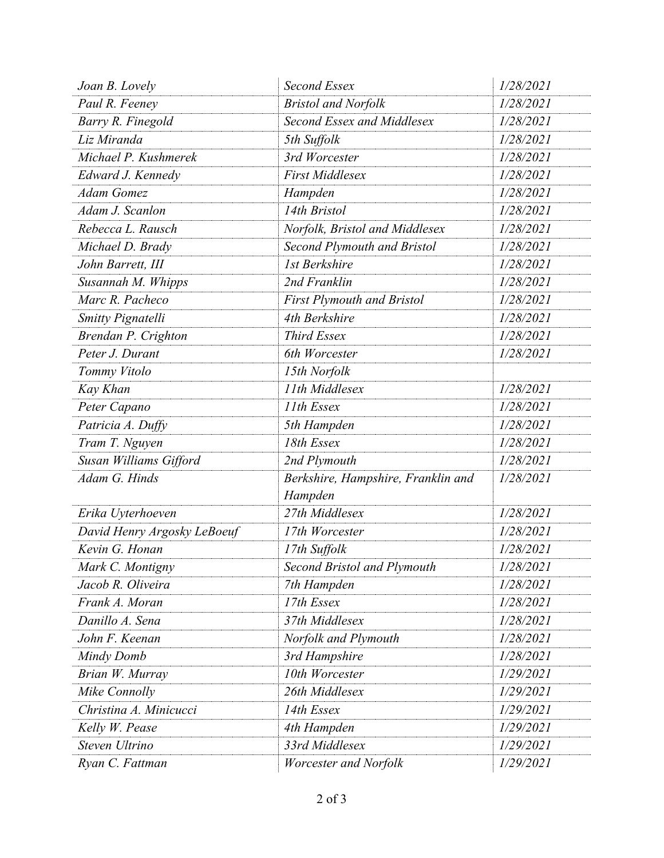| Joan B. Lovely              | <b>Second Essex</b>                | 1/28/2021 |
|-----------------------------|------------------------------------|-----------|
| Paul R. Feeney              | <b>Bristol and Norfolk</b>         | 1/28/2021 |
| Barry R. Finegold           | <b>Second Essex and Middlesex</b>  | 1/28/2021 |
| Liz Miranda                 | 5th Suffolk                        | 1/28/2021 |
| Michael P. Kushmerek        | 3rd Worcester                      | 1/28/2021 |
| Edward J. Kennedy           | <b>First Middlesex</b>             | 1/28/2021 |
| <b>Adam Gomez</b>           | Hampden                            | 1/28/2021 |
| Adam J. Scanlon             | 14th Bristol                       | 1/28/2021 |
| Rebecca L. Rausch           | Norfolk, Bristol and Middlesex     | 1/28/2021 |
| Michael D. Brady            | <b>Second Plymouth and Bristol</b> | 1/28/2021 |
| John Barrett, III           | 1st Berkshire                      | 1/28/2021 |
| Susannah M. Whipps          | 2nd Franklin                       | 1/28/2021 |
| Marc R. Pacheco             | <b>First Plymouth and Bristol</b>  | 1/28/2021 |
| Smitty Pignatelli           | 4th Berkshire                      | 1/28/2021 |
| Brendan P. Crighton         | Third Essex                        | 1/28/2021 |
| Peter J. Durant             | 6th Worcester                      | 1/28/2021 |
| Tommy Vitolo                | 15th Norfolk                       |           |
| Kay Khan                    | 11th Middlesex                     | 1/28/2021 |
| Peter Capano                | 11th Essex                         | 1/28/2021 |
| Patricia A. Duffy           | 5th Hampden                        | 1/28/2021 |
| Tram T. Nguyen              | 18th Essex                         | 1/28/2021 |
| Susan Williams Gifford      | 2nd Plymouth                       | 1/28/2021 |
| Adam G. Hinds               | Berkshire, Hampshire, Franklin and | 1/28/2021 |
|                             | Hampden                            |           |
| Erika Uyterhoeven           | 27th Middlesex                     | 1/28/2021 |
| David Henry Argosky LeBoeuf | 17th Worcester                     | 1/28/2021 |
| Kevin G. Honan              | 17th Suffolk                       | 1/28/2021 |
| Mark C. Montigny            | Second Bristol and Plymouth        | 1/28/2021 |
| Jacob R. Oliveira           | 7th Hampden                        | 1/28/2021 |
| Frank A. Moran              | 17th Essex                         | 1/28/2021 |
| Danillo A. Sena             | 37th Middlesex                     | 1/28/2021 |
| John F. Keenan              | Norfolk and Plymouth               | 1/28/2021 |
| Mindy Domb                  | 3rd Hampshire                      | 1/28/2021 |
| Brian W. Murray             | 10th Worcester                     | 1/29/2021 |
| Mike Connolly               | 26th Middlesex                     | 1/29/2021 |
| Christina A. Minicucci      | 14th Essex                         | 1/29/2021 |
| Kelly W. Pease              | 4th Hampden                        | 1/29/2021 |
| Steven Ultrino              | 33rd Middlesex                     | 1/29/2021 |
| Ryan C. Fattman             | Worcester and Norfolk              | 1/29/2021 |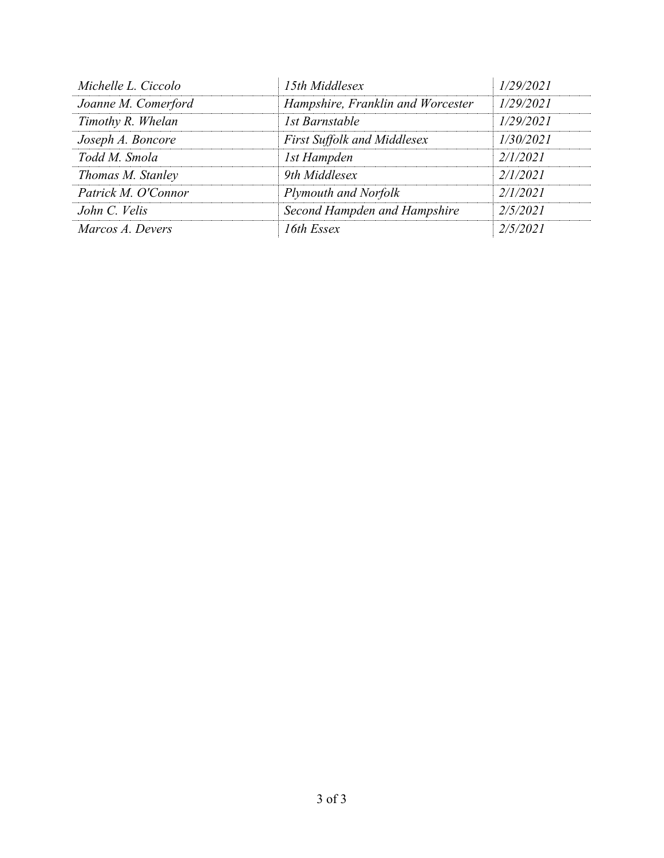| Michelle L. Ciccolo | 15th Middlesex                     | 1/29/2021 |
|---------------------|------------------------------------|-----------|
| Joanne M. Comerford | Hampshire, Franklin and Worcester  | 1/29/2021 |
| Timothy R. Whelan   | 1st Barnstable                     | 1/29/2021 |
| Joseph A. Boncore   | <b>First Suffolk and Middlesex</b> | 1/30/2021 |
| Todd M. Smola       | 1st Hampden                        | 2/1/2021  |
| Thomas M. Stanley   | 9th Middlesex                      | 2/1/2021  |
| Patrick M. O'Connor | Plymouth and Norfolk               | 2/1/2021  |
| John C. Velis       | Second Hampden and Hampshire       | 2/5/2021  |
| Marcos A. Devers    | 16th Essex                         | 2/5/2021  |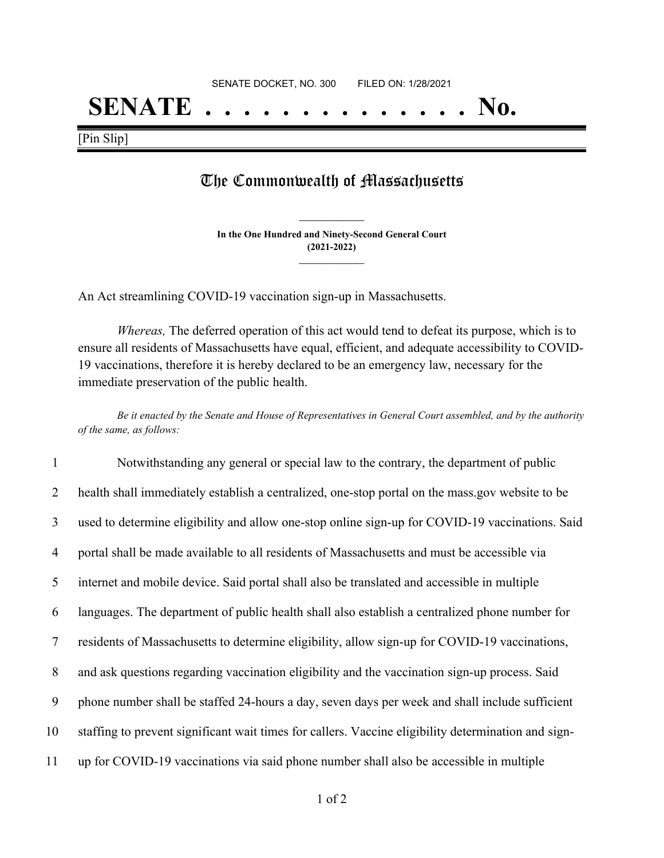## **SENATE . . . . . . . . . . . . . . No.**

[Pin Slip]

### The Commonwealth of Massachusetts

**In the One Hundred and Ninety-Second General Court (2021-2022) \_\_\_\_\_\_\_\_\_\_\_\_\_\_\_**

**\_\_\_\_\_\_\_\_\_\_\_\_\_\_\_**

An Act streamlining COVID-19 vaccination sign-up in Massachusetts.

*Whereas,* The deferred operation of this act would tend to defeat its purpose, which is to ensure all residents of Massachusetts have equal, efficient, and adequate accessibility to COVID-19 vaccinations, therefore it is hereby declared to be an emergency law, necessary for the immediate preservation of the public health.

Be it enacted by the Senate and House of Representatives in General Court assembled, and by the authority *of the same, as follows:*

 Notwithstanding any general or special law to the contrary, the department of public health shall immediately establish a centralized, one-stop portal on the mass.gov website to be used to determine eligibility and allow one-stop online sign-up for COVID-19 vaccinations. Said portal shall be made available to all residents of Massachusetts and must be accessible via internet and mobile device. Said portal shall also be translated and accessible in multiple languages. The department of public health shall also establish a centralized phone number for residents of Massachusetts to determine eligibility, allow sign-up for COVID-19 vaccinations, and ask questions regarding vaccination eligibility and the vaccination sign-up process. Said phone number shall be staffed 24-hours a day, seven days per week and shall include sufficient staffing to prevent significant wait times for callers. Vaccine eligibility determination and sign-up for COVID-19 vaccinations via said phone number shall also be accessible in multiple